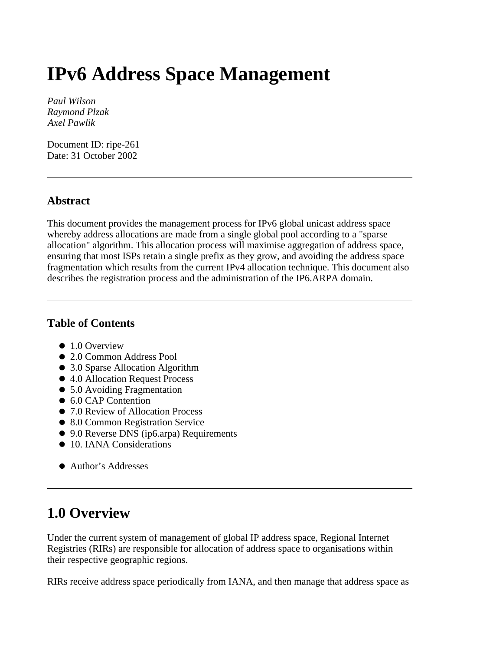# **IPv6 Address Space Management**

*Paul Wilson Raymond Plzak Axel Pawlik*

Document ID: ripe-261 Date: 31 October 2002

#### **Abstract**

This document provides the management process for IPv6 global unicast address space whereby address allocations are made from a single global pool according to a "sparse allocation" algorithm. This allocation process will maximise aggregation of address space, ensuring that most ISPs retain a single prefix as they grow, and avoiding the address space fragmentation which results from the current IPv4 allocation technique. This document also describes the registration process and the administration of the IP6.ARPA domain.

#### **Table of Contents**

- $\bullet$  1.0 Overview
- 2.0 Common Address Pool
- 3.0 Sparse Allocation Algorithm
- 4.0 Allocation Request Process
- 5.0 Avoiding Fragmentation
- 6.0 CAP Contention
- 7.0 Review of Allocation Process
- 8.0 Common Registration Service
- 9.0 Reverse DNS (ip6.arpa) Requirements
- 10. IANA Considerations
- Author's Addresses

#### **1.0 Overview**

Under the current system of management of global IP address space, Regional Internet Registries (RIRs) are responsible for allocation of address space to organisations within their respective geographic regions.

RIRs receive address space periodically from IANA, and then manage that address space as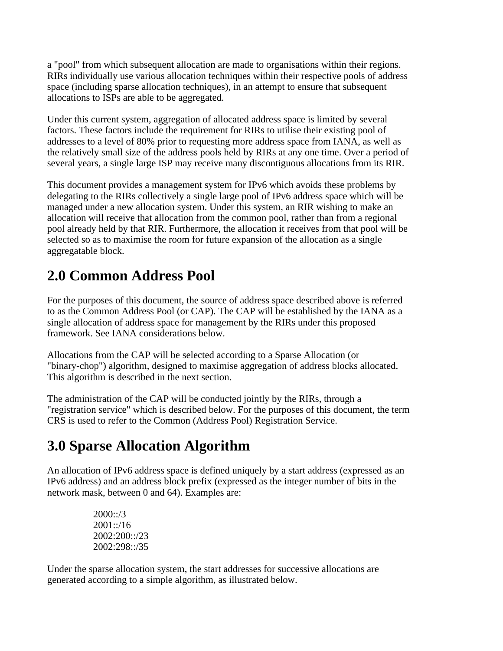a "pool" from which subsequent allocation are made to organisations within their regions. RIRs individually use various allocation techniques within their respective pools of address space (including sparse allocation techniques), in an attempt to ensure that subsequent allocations to ISPs are able to be aggregated.

Under this current system, aggregation of allocated address space is limited by several factors. These factors include the requirement for RIRs to utilise their existing pool of addresses to a level of 80% prior to requesting more address space from IANA, as well as the relatively small size of the address pools held by RIRs at any one time. Over a period of several years, a single large ISP may receive many discontiguous allocations from its RIR.

This document provides a management system for IPv6 which avoids these problems by delegating to the RIRs collectively a single large pool of IPv6 address space which will be managed under a new allocation system. Under this system, an RIR wishing to make an allocation will receive that allocation from the common pool, rather than from a regional pool already held by that RIR. Furthermore, the allocation it receives from that pool will be selected so as to maximise the room for future expansion of the allocation as a single aggregatable block.

### **2.0 Common Address Pool**

For the purposes of this document, the source of address space described above is referred to as the Common Address Pool (or CAP). The CAP will be established by the IANA as a single allocation of address space for management by the RIRs under this proposed framework. See IANA considerations below.

Allocations from the CAP will be selected according to a Sparse Allocation (or "binary-chop") algorithm, designed to maximise aggregation of address blocks allocated. This algorithm is described in the next section.

The administration of the CAP will be conducted jointly by the RIRs, through a "registration service" which is described below. For the purposes of this document, the term CRS is used to refer to the Common (Address Pool) Registration Service.

## **3.0 Sparse Allocation Algorithm**

An allocation of IPv6 address space is defined uniquely by a start address (expressed as an IPv6 address) and an address block prefix (expressed as the integer number of bits in the network mask, between 0 and 64). Examples are:

> $2000::/3$ 2001::/16 2002:200::/23 2002:298::/35

Under the sparse allocation system, the start addresses for successive allocations are generated according to a simple algorithm, as illustrated below.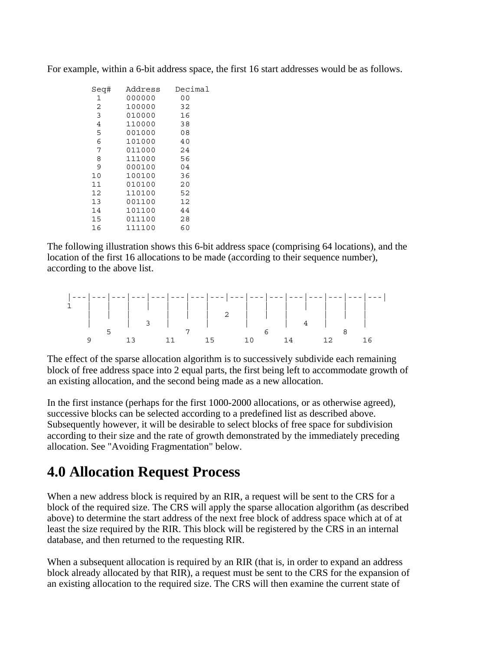|                | Sea# | Address | Decimal |  |  |  |
|----------------|------|---------|---------|--|--|--|
|                | 1    | 000000  | 00      |  |  |  |
| 2              |      | 100000  | 32      |  |  |  |
|                | 3    | 010000  | 16      |  |  |  |
| $\overline{4}$ |      | 110000  | 38      |  |  |  |
|                | 5    | 001000  | 08      |  |  |  |
|                | 6    | 101000  | 40      |  |  |  |
|                | 7    | 011000  | 24      |  |  |  |
|                | 8    | 111000  | 56      |  |  |  |
|                | 9    | 000100  | 04      |  |  |  |
| 10             |      | 100100  | 36      |  |  |  |
| 11             |      | 010100  | 20      |  |  |  |
| 12             |      | 110100  | 52      |  |  |  |
| 13             |      | 001100  | 12      |  |  |  |
| 14             |      | 101100  | 44      |  |  |  |
| 15             |      | 011100  | 28      |  |  |  |
| 16             |      | 111100  | 60      |  |  |  |

For example, within a 6-bit address space, the first 16 start addresses would be as follows.

The following illustration shows this 6-bit address space (comprising 64 locations), and the location of the first 16 allocations to be made (according to their sequence number), according to the above list.

|  | 13 11 15 10 14 12 16 |  |  |  |  |  |  |
|--|----------------------|--|--|--|--|--|--|

The effect of the sparse allocation algorithm is to successively subdivide each remaining block of free address space into 2 equal parts, the first being left to accommodate growth of an existing allocation, and the second being made as a new allocation.

In the first instance (perhaps for the first 1000-2000 allocations, or as otherwise agreed), successive blocks can be selected according to a predefined list as described above. Subsequently however, it will be desirable to select blocks of free space for subdivision according to their size and the rate of growth demonstrated by the immediately preceding allocation. See "Avoiding Fragmentation" below.

#### **4.0 Allocation Request Process**

When a new address block is required by an RIR, a request will be sent to the CRS for a block of the required size. The CRS will apply the sparse allocation algorithm (as described above) to determine the start address of the next free block of address space which at of at least the size required by the RIR. This block will be registered by the CRS in an internal database, and then returned to the requesting RIR.

When a subsequent allocation is required by an RIR (that is, in order to expand an address block already allocated by that RIR), a request must be sent to the CRS for the expansion of an existing allocation to the required size. The CRS will then examine the current state of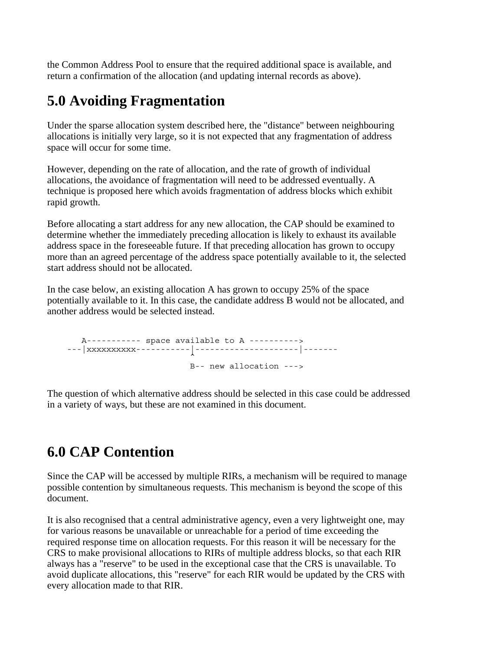the Common Address Pool to ensure that the required additional space is available, and return a confirmation of the allocation (and updating internal records as above).

#### **5.0 Avoiding Fragmentation**

Under the sparse allocation system described here, the "distance" between neighbouring allocations is initially very large, so it is not expected that any fragmentation of address space will occur for some time.

However, depending on the rate of allocation, and the rate of growth of individual allocations, the avoidance of fragmentation will need to be addressed eventually. A technique is proposed here which avoids fragmentation of address blocks which exhibit rapid growth.

Before allocating a start address for any new allocation, the CAP should be examined to determine whether the immediately preceding allocation is likely to exhaust its available address space in the foreseeable future. If that preceding allocation has grown to occupy more than an agreed percentage of the address space potentially available to it, the selected start address should not be allocated.

In the case below, an existing allocation A has grown to occupy 25% of the space potentially available to it. In this case, the candidate address B would not be allocated, and another address would be selected instead.

 A----------- space available to A ----------> ---|xxxxxxxxxx-----------|---------------------|-------  $\lambda$ B-- new allocation --->

The question of which alternative address should be selected in this case could be addressed in a variety of ways, but these are not examined in this document.

#### **6.0 CAP Contention**

Since the CAP will be accessed by multiple RIRs, a mechanism will be required to manage possible contention by simultaneous requests. This mechanism is beyond the scope of this document.

It is also recognised that a central administrative agency, even a very lightweight one, may for various reasons be unavailable or unreachable for a period of time exceeding the required response time on allocation requests. For this reason it will be necessary for the CRS to make provisional allocations to RIRs of multiple address blocks, so that each RIR always has a "reserve" to be used in the exceptional case that the CRS is unavailable. To avoid duplicate allocations, this "reserve" for each RIR would be updated by the CRS with every allocation made to that RIR.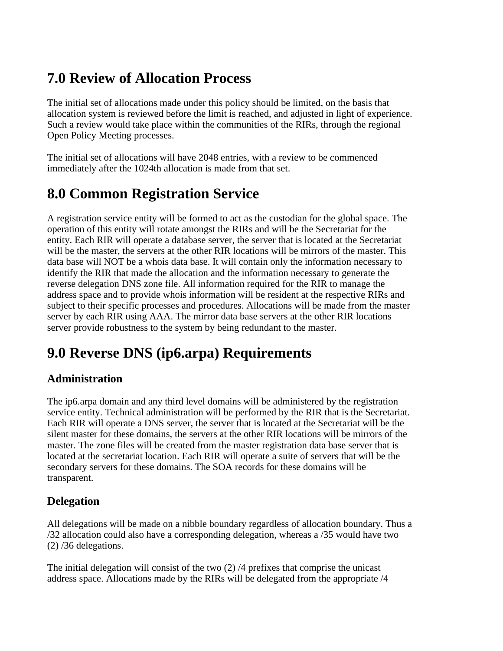### **7.0 Review of Allocation Process**

The initial set of allocations made under this policy should be limited, on the basis that allocation system is reviewed before the limit is reached, and adjusted in light of experience. Such a review would take place within the communities of the RIRs, through the regional Open Policy Meeting processes.

The initial set of allocations will have 2048 entries, with a review to be commenced immediately after the 1024th allocation is made from that set.

#### **8.0 Common Registration Service**

A registration service entity will be formed to act as the custodian for the global space. The operation of this entity will rotate amongst the RIRs and will be the Secretariat for the entity. Each RIR will operate a database server, the server that is located at the Secretariat will be the master, the servers at the other RIR locations will be mirrors of the master. This data base will NOT be a whois data base. It will contain only the information necessary to identify the RIR that made the allocation and the information necessary to generate the reverse delegation DNS zone file. All information required for the RIR to manage the address space and to provide whois information will be resident at the respective RIRs and subject to their specific processes and procedures. Allocations will be made from the master server by each RIR using AAA. The mirror data base servers at the other RIR locations server provide robustness to the system by being redundant to the master.

## **9.0 Reverse DNS (ip6.arpa) Requirements**

#### **Administration**

The ip6.arpa domain and any third level domains will be administered by the registration service entity. Technical administration will be performed by the RIR that is the Secretariat. Each RIR will operate a DNS server, the server that is located at the Secretariat will be the silent master for these domains, the servers at the other RIR locations will be mirrors of the master. The zone files will be created from the master registration data base server that is located at the secretariat location. Each RIR will operate a suite of servers that will be the secondary servers for these domains. The SOA records for these domains will be transparent.

#### **Delegation**

All delegations will be made on a nibble boundary regardless of allocation boundary. Thus a /32 allocation could also have a corresponding delegation, whereas a /35 would have two (2) /36 delegations.

The initial delegation will consist of the two  $(2)$  /4 prefixes that comprise the unicast address space. Allocations made by the RIRs will be delegated from the appropriate /4